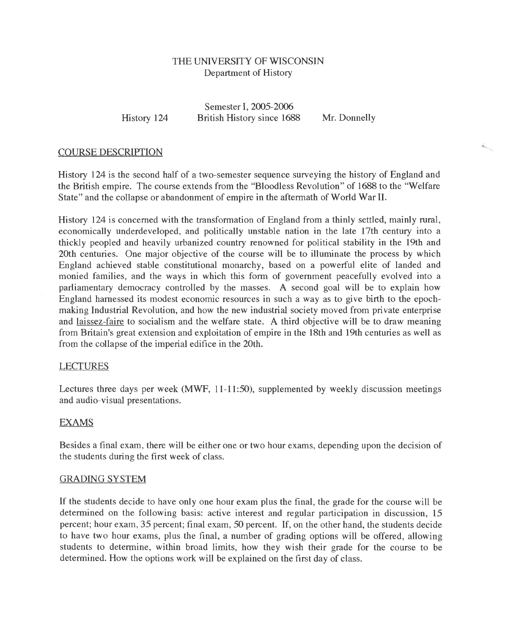# THE UNIVERSITY OF WISCONSIN Department of History

History 124

Semester I, 2005-2006 British History since 1688 Mr. Donnelly

**Kongress** 

## COURSE DESCRIPTION

History 124 is the second half of a two-semester sequence surveying the history of England and the British empire. The course extends from the "Bloodless Revolution" of 1688 to the "Welfare State" and the collapse or abandonment of empire in the aftermath of World War II.

History 124 is concerned with the transformation of England from a thinly settled, mainly rural, economically underdeveloped, and politically unstable nation in the late 17th century into a thickly peopled and heavily urbanized country renowned for political stability in the 19th and 20th centuries. One major objective of the course will be to illuminate the process by which England achieved stable constitutional monarchy, based on a powerful elite of landed and monied families, and the ways in which this form of government peacefully evolved into a parliamentary democracy controlled by the masses. A second goal will be to explain how England harnessed its modest economic resources in such a way as to give birth to the epochmaking Industrial Revolution, and how the new industrial society moved from private enterprise and laissez-faire to socialism and the welfare state. A third objective will be to draw meaning from Britain's great extension and exploitation of empire in the 18th and 19th centuries as well as from the collapse of the imperial edifice in the 20th.

## LECTURES

Lectures three days per week (MWF, 11-11:50), supplemented by weekly discussion meetings and audio-visual presentations.

# EXAMS

Besides a final exam, there will be either one or two hour exams, depending upon the decision of the students during the first week of class.

## GRADING SYSTEM

If the students decide to have only one hour exam plus the final, the grade for the course will be determined on the following basis: active interest and regular participation in discussion, 15 percent; hour exam, 35 percent; final exam, 50 percent. If, on the other hand, the students decide to have two hour exams, plus the final, a number of grading options will be offered, allowing students to determine, within broad limits, how they wish their grade for the course to be determined. How the options work will be explained on the first day of class.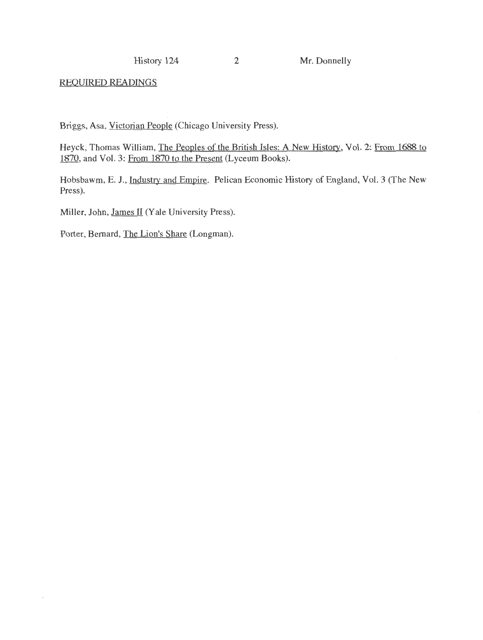History 124 2 Mr. Donnelly

REQUIRED READINGS

ł,

Briggs, Asa, Victorian People (Chicago University Press).

Heyck, Thomas William, The Peoples of the British Isles: A New History, Vol. 2: From 1688 to 1870, and Vol. 3: From 1870 to the Present (Lyceum Books).

Hobsbawm, E. J., Industry and Empire. Pelican Economic History of England, Vol. 3 (The New Press).

Miller, John, James II (Yale University Press).

Porter, Bernard, The Lion's Share (Longman).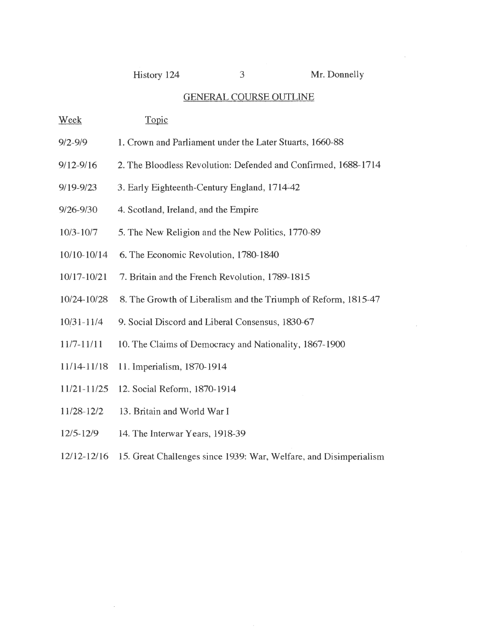History 124 3 Mr. Donnelly

### GENERAL COURSE OUTLINE

- Week Topic
- 9/2-9/9 1. Crown and Parliament under the Later Stuarts, 1660-88
- 9/12-9/16 2. The Bloodless Revolution: Defended and Confirmed, 1688-1714
- 9/19-9/23 3. Early Eighteenth-Century England, 1714-42
- 9/26-9/30 4. Scotland, Ireland, and the Empire
- 10/3-1017 5. The New Religion and the New Politics, 1770-89
- 10/10-10/14 6. The Economic Revolution, 1780-1840
- 10/17-10/21 7. Britain and the French Revolution, 1789-1815
- 10/24-10/28 8. The Growth of Liberalism and the Triumph of Reform, 1815-47
- 10/31-1114 9. Social Discord and Liberal Consensus, 1830-67
- 1117-11111 10. The Claims of Democracy and Nationality, 1867-1900
- 11114-11/18 11. Imperialism, 1870-1914
- 11/21-11/25 12. Social Reform, 1870-1914
- 11128-12/2 13. Britain and World War I
- 12/5-12/9 14. The Interwar Years, 1918-39
- 12/12-12/16 15. Great Challenges since 1939: War, Welfare, and Disimperialism